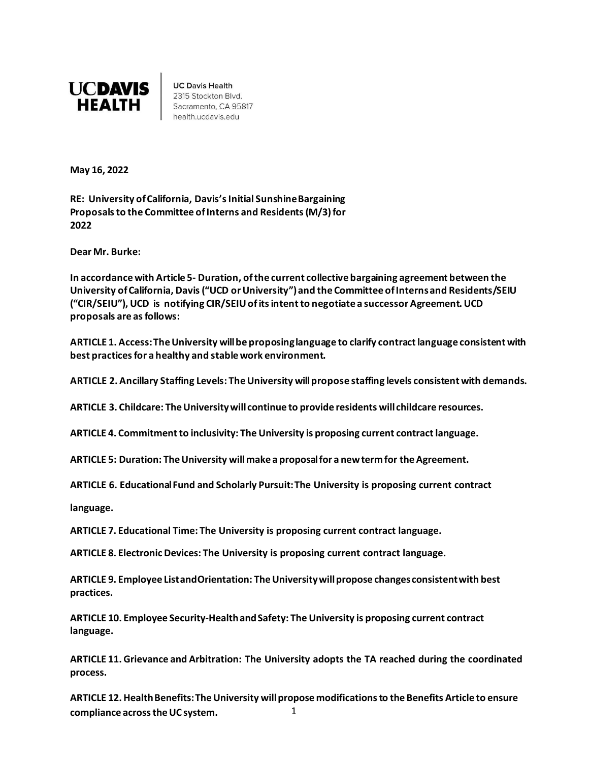

**UC Davis Health** 2315 Stockton Blvd. Sacramento, CA 95817 health.ucdavis.edu

**May 16, 2022**

**RE: University ofCalifornia, Davis'sInitial SunshineBargaining Proposals to the Committee of Interns and Residents (M/3) for 2022**

**Dear Mr. Burke:** 

**In accordance with Article 5- Duration, of the current collective bargaining agreement between the University ofCalifornia, Davis ("UCD or University") and the Committee of Interns and Residents/SEIU ("CIR/SEIU"), UCD is notifying CIR/SEIU of its intent to negotiate a successor Agreement. UCD proposals are as follows:** 

**ARTICLE 1. Access: The University will be proposing language to clarify contract language consistent with best practices for a healthy and stable work environment.** 

**ARTICLE 2. Ancillary Staffing Levels: The University will propose staffing levels consistent with demands.** 

**ARTICLE 3. Childcare: The University will continue to provide residents will childcare resources.** 

**ARTICLE 4. Commitment to inclusivity: The University is proposing current contract language.**

**ARTICLE 5: Duration: The University will make a proposal for a new term for the Agreement.** 

**ARTICLE 6. Educational Fund and Scholarly Pursuit: The University is proposing current contract** 

**language.**

**ARTICLE 7. Educational Time: The University is proposing current contract language.**

**ARTICLE 8. Electronic Devices: The University is proposing current contract language.**

**ARTICLE 9. Employee List and Orientation: The University will propose changes consistent with best practices.** 

**ARTICLE 10. Employee Security-Health and Safety: The University is proposing current contract language.**

**ARTICLE 11. Grievance and Arbitration: The University adopts the TA reached during the coordinated process.**

**ARTICLE 12. Health Benefits: The University will propose modifications to the Benefits Article to ensure compliance across the UC system.** 1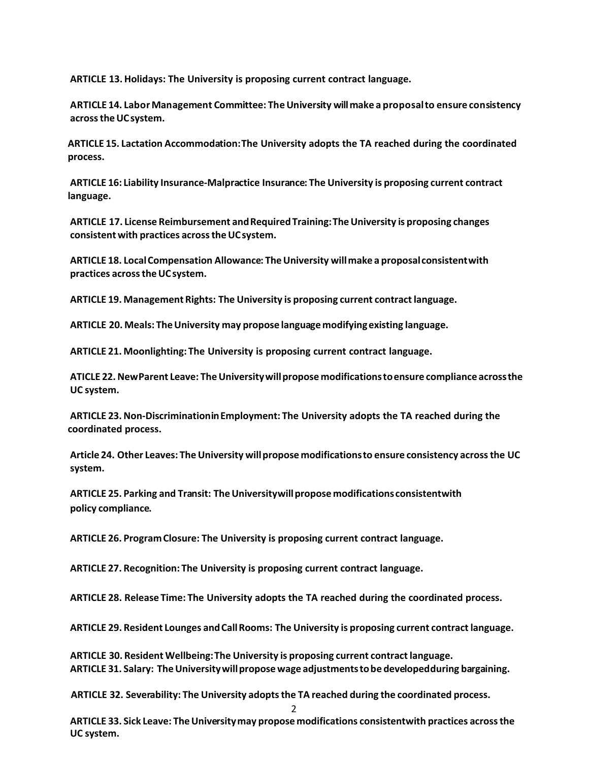**ARTICLE 13. Holidays: The University is proposing current contract language.**

**ARTICLE 14. Labor Management Committee: The University will make a proposal to ensure consistency across the UC system.** 

**ARTICLE 15. Lactation Accommodation: The University adopts the TA reached during the coordinated process.**

**ARTICLE 16: Liability Insurance-Malpractice Insurance: The University is proposing current contract language.**

**ARTICLE 17. License Reimbursement and Required Training: The University is proposing changes consistent with practices across the UC system.** 

**ARTICLE 18. Local Compensation Allowance: The University will make a proposal consistent with practices across the UC system.** 

**ARTICLE 19. Management Rights: The University is proposing current contract language.**

**ARTICLE 20. Meals: The University may propose language modifying existing language.** 

**ARTICLE 21. Moonlighting: The University is proposing current contract language.**

**ATICLE 22.New Parent Leave: The University will propose modifications toensure compliance across the UC system.** 

**ARTICLE 23.Non-Discrimination inEmployment: The University adopts the TA reached during the coordinated process.**

**Article 24. Other Leaves: The University will propose modifications to ensure consistency across the UC system.** 

**ARTICLE 25. Parking and Transit: The University will propose modifications consistent with policy compliance.** 

**ARTICLE 26. Program Closure: The University is proposing current contract language.**

**ARTICLE 27. Recognition: The University is proposing current contract language.**

**ARTICLE 28. Release Time: The University adopts the TA reached during the coordinated process.**

**ARTICLE 29. Resident Lounges and Call Rooms: The University is proposing current contract language.**

**ARTICLE 30. Resident Wellbeing: The University is proposing current contract language. ARTICLE 31. Salary: The University will propose wage adjustments tobe developed during bargaining.** 

**ARTICLE 32. Severability: The University adopts the TA reached during the coordinated process.**

 $\mathcal{D}$ 

**ARTICLE 33. Sick Leave: The University may propose modifications consistent with practices across the UC system.**